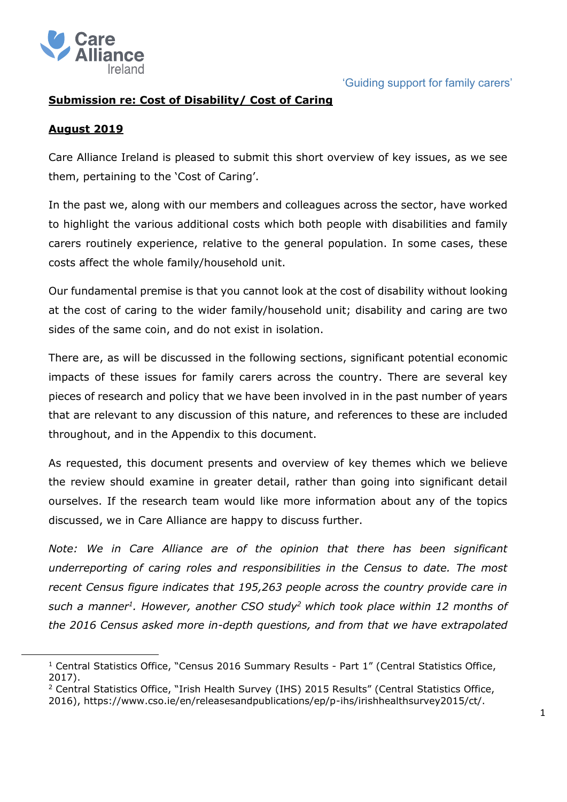

# **Submission re: Cost of Disability/ Cost of Caring**

### **August 2019**

Care Alliance Ireland is pleased to submit this short overview of key issues, as we see them, pertaining to the 'Cost of Caring'.

In the past we, along with our members and colleagues across the sector, have worked to highlight the various additional costs which both people with disabilities and family carers routinely experience, relative to the general population. In some cases, these costs affect the whole family/household unit.

Our fundamental premise is that you cannot look at the cost of disability without looking at the cost of caring to the wider family/household unit; disability and caring are two sides of the same coin, and do not exist in isolation.

There are, as will be discussed in the following sections, significant potential economic impacts of these issues for family carers across the country. There are several key pieces of research and policy that we have been involved in in the past number of years that are relevant to any discussion of this nature, and references to these are included throughout, and in the Appendix to this document.

As requested, this document presents and overview of key themes which we believe the review should examine in greater detail, rather than going into significant detail ourselves. If the research team would like more information about any of the topics discussed, we in Care Alliance are happy to discuss further.

*Note: We in Care Alliance are of the opinion that there has been significant underreporting of caring roles and responsibilities in the Census to date. The most recent Census figure indicates that 195,263 people across the country provide care in such a manner<sup>1</sup> . However, another CSO study<sup>2</sup> which took place within 12 months of the 2016 Census asked more in-depth questions, and from that we have extrapolated* 

<sup>&</sup>lt;sup>1</sup> Central Statistics Office, "Census 2016 Summary Results - Part 1" (Central Statistics Office, 2017).

 $2$  Central Statistics Office, "Irish Health Survey (IHS) 2015 Results" (Central Statistics Office, 2016), https://www.cso.ie/en/releasesandpublications/ep/p-ihs/irishhealthsurvey2015/ct/.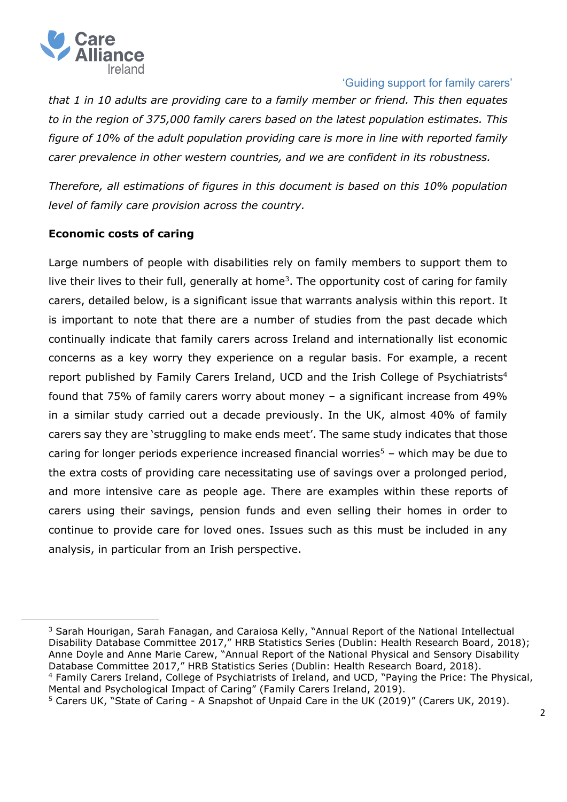

*that 1 in 10 adults are providing care to a family member or friend. This then equates to in the region of 375,000 family carers based on the latest population estimates. This figure of 10% of the adult population providing care is more in line with reported family carer prevalence in other western countries, and we are confident in its robustness.*

*Therefore, all estimations of figures in this document is based on this 10% population level of family care provision across the country.* 

## **Economic costs of caring**

Large numbers of people with disabilities rely on family members to support them to live their lives to their full, generally at home<sup>3</sup>. The opportunity cost of caring for family carers, detailed below, is a significant issue that warrants analysis within this report. It is important to note that there are a number of studies from the past decade which continually indicate that family carers across Ireland and internationally list economic concerns as a key worry they experience on a regular basis. For example, a recent report published by Family Carers Ireland, UCD and the Irish College of Psychiatrists<sup>4</sup> found that 75% of family carers worry about money – a significant increase from 49% in a similar study carried out a decade previously. In the UK, almost 40% of family carers say they are 'struggling to make ends meet'. The same study indicates that those caring for longer periods experience increased financial worries<sup>5</sup> – which may be due to the extra costs of providing care necessitating use of savings over a prolonged period, and more intensive care as people age. There are examples within these reports of carers using their savings, pension funds and even selling their homes in order to continue to provide care for loved ones. Issues such as this must be included in any analysis, in particular from an Irish perspective.

<sup>&</sup>lt;sup>3</sup> Sarah Hourigan, Sarah Fanagan, and Caraiosa Kelly, "Annual Report of the National Intellectual Disability Database Committee 2017," HRB Statistics Series (Dublin: Health Research Board, 2018); Anne Doyle and Anne Marie Carew, "Annual Report of the National Physical and Sensory Disability Database Committee 2017," HRB Statistics Series (Dublin: Health Research Board, 2018). <sup>4</sup> Family Carers Ireland, College of Psychiatrists of Ireland, and UCD, "Paying the Price: The Physical, Mental and Psychological Impact of Caring" (Family Carers Ireland, 2019).

<sup>&</sup>lt;sup>5</sup> Carers UK, "State of Caring - A Snapshot of Unpaid Care in the UK (2019)" (Carers UK, 2019).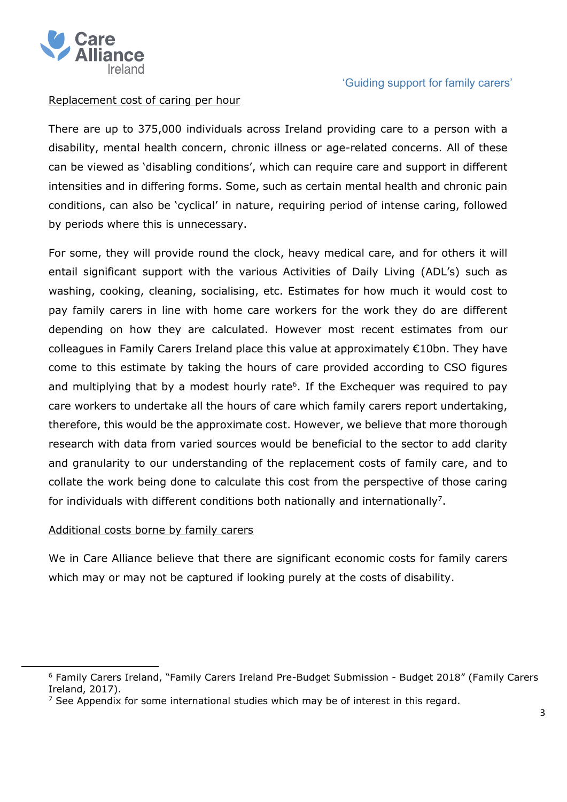

### Replacement cost of caring per hour

There are up to 375,000 individuals across Ireland providing care to a person with a disability, mental health concern, chronic illness or age-related concerns. All of these can be viewed as 'disabling conditions', which can require care and support in different intensities and in differing forms. Some, such as certain mental health and chronic pain conditions, can also be 'cyclical' in nature, requiring period of intense caring, followed by periods where this is unnecessary.

For some, they will provide round the clock, heavy medical care, and for others it will entail significant support with the various Activities of Daily Living (ADL's) such as washing, cooking, cleaning, socialising, etc. Estimates for how much it would cost to pay family carers in line with home care workers for the work they do are different depending on how they are calculated. However most recent estimates from our colleagues in Family Carers Ireland place this value at approximately €10bn. They have come to this estimate by taking the hours of care provided according to CSO figures and multiplying that by a modest hourly rate<sup>6</sup>. If the Exchequer was required to pay care workers to undertake all the hours of care which family carers report undertaking, therefore, this would be the approximate cost. However, we believe that more thorough research with data from varied sources would be beneficial to the sector to add clarity and granularity to our understanding of the replacement costs of family care, and to collate the work being done to calculate this cost from the perspective of those caring for individuals with different conditions both nationally and internationally<sup>7</sup>.

#### Additional costs borne by family carers

We in Care Alliance believe that there are significant economic costs for family carers which may or may not be captured if looking purely at the costs of disability.

<sup>6</sup> Family Carers Ireland, "Family Carers Ireland Pre-Budget Submission - Budget 2018" (Family Carers Ireland, 2017).

<sup>&</sup>lt;sup>7</sup> See Appendix for some international studies which may be of interest in this regard.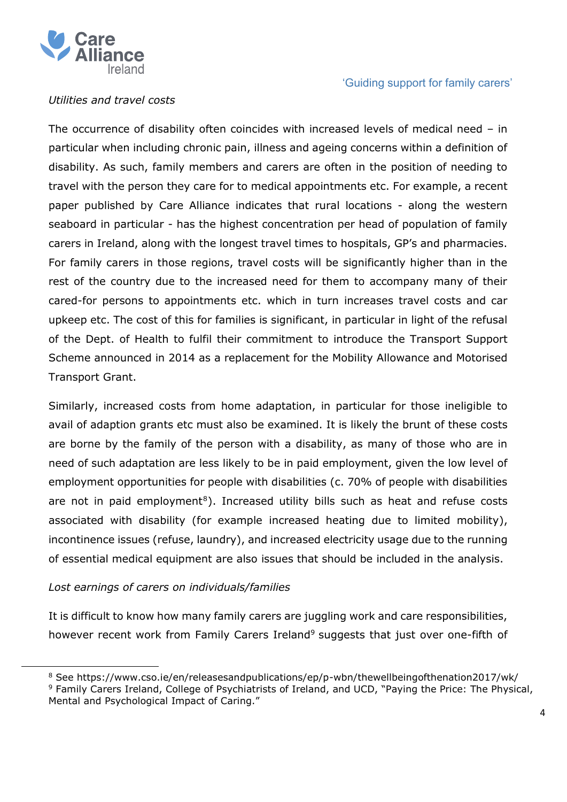

### *Utilities and travel costs*

The occurrence of disability often coincides with increased levels of medical need – in particular when including chronic pain, illness and ageing concerns within a definition of disability. As such, family members and carers are often in the position of needing to travel with the person they care for to medical appointments etc. For example, a recent paper published by Care Alliance indicates that rural locations - along the western seaboard in particular - has the highest concentration per head of population of family carers in Ireland, along with the longest travel times to hospitals, GP's and pharmacies. For family carers in those regions, travel costs will be significantly higher than in the rest of the country due to the increased need for them to accompany many of their cared-for persons to appointments etc. which in turn increases travel costs and car upkeep etc. The cost of this for families is significant, in particular in light of the refusal of the Dept. of Health to fulfil their commitment to introduce the Transport Support Scheme announced in 2014 as a replacement for the Mobility Allowance and Motorised Transport Grant.

Similarly, increased costs from home adaptation, in particular for those ineligible to avail of adaption grants etc must also be examined. It is likely the brunt of these costs are borne by the family of the person with a disability, as many of those who are in need of such adaptation are less likely to be in paid employment, given the low level of employment opportunities for people with disabilities (c. 70% of people with disabilities are not in paid employment<sup>8</sup>). Increased utility bills such as heat and refuse costs associated with disability (for example increased heating due to limited mobility), incontinence issues (refuse, laundry), and increased electricity usage due to the running of essential medical equipment are also issues that should be included in the analysis.

## *Lost earnings of carers on individuals/families*

It is difficult to know how many family carers are juggling work and care responsibilities, however recent work from Family Carers Ireland<sup>9</sup> suggests that just over one-fifth of

<sup>8</sup> See https://www.cso.ie/en/releasesandpublications/ep/p-wbn/thewellbeingofthenation2017/wk/

<sup>9</sup> Family Carers Ireland, College of Psychiatrists of Ireland, and UCD, "Paying the Price: The Physical, Mental and Psychological Impact of Caring."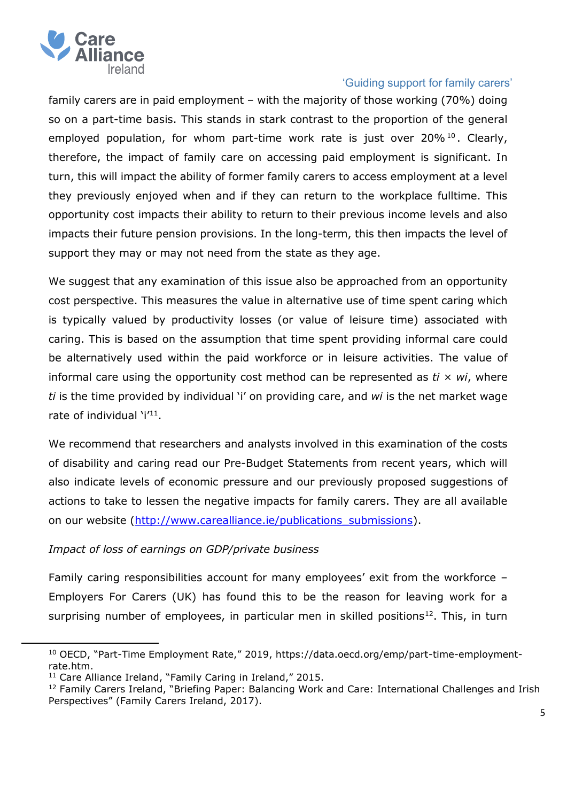

family carers are in paid employment – with the majority of those working (70%) doing so on a part-time basis. This stands in stark contrast to the proportion of the general employed population, for whom part-time work rate is just over  $20\%$ <sup>10</sup>. Clearly, therefore, the impact of family care on accessing paid employment is significant. In turn, this will impact the ability of former family carers to access employment at a level they previously enjoyed when and if they can return to the workplace fulltime. This opportunity cost impacts their ability to return to their previous income levels and also impacts their future pension provisions. In the long-term, this then impacts the level of support they may or may not need from the state as they age.

We suggest that any examination of this issue also be approached from an opportunity cost perspective. This measures the value in alternative use of time spent caring which is typically valued by productivity losses (or value of leisure time) associated with caring. This is based on the assumption that time spent providing informal care could be alternatively used within the paid workforce or in leisure activities. The value of informal care using the opportunity cost method can be represented as *ti × wi*, where *ti* is the time provided by individual 'i' on providing care, and *wi* is the net market wage rate of individual 'i'<sup>11</sup>.

We recommend that researchers and analysts involved in this examination of the costs of disability and caring read our Pre-Budget Statements from recent years, which will also indicate levels of economic pressure and our previously proposed suggestions of actions to take to lessen the negative impacts for family carers. They are all available on our website [\(http://www.carealliance.ie/publications\\_submissions\)](http://www.carealliance.ie/publications_submissions).

## *Impact of loss of earnings on GDP/private business*

Family caring responsibilities account for many employees' exit from the workforce – Employers For Carers (UK) has found this to be the reason for leaving work for a surprising number of employees, in particular men in skilled positions<sup>12</sup>. This, in turn

<sup>&</sup>lt;sup>10</sup> OECD, "Part-Time Employment Rate," 2019, https://data.oecd.org/emp/part-time-employmentrate.htm.

 $11$  Care Alliance Ireland, "Family Caring in Ireland," 2015.

<sup>&</sup>lt;sup>12</sup> Family Carers Ireland, "Briefing Paper: Balancing Work and Care: International Challenges and Irish Perspectives" (Family Carers Ireland, 2017).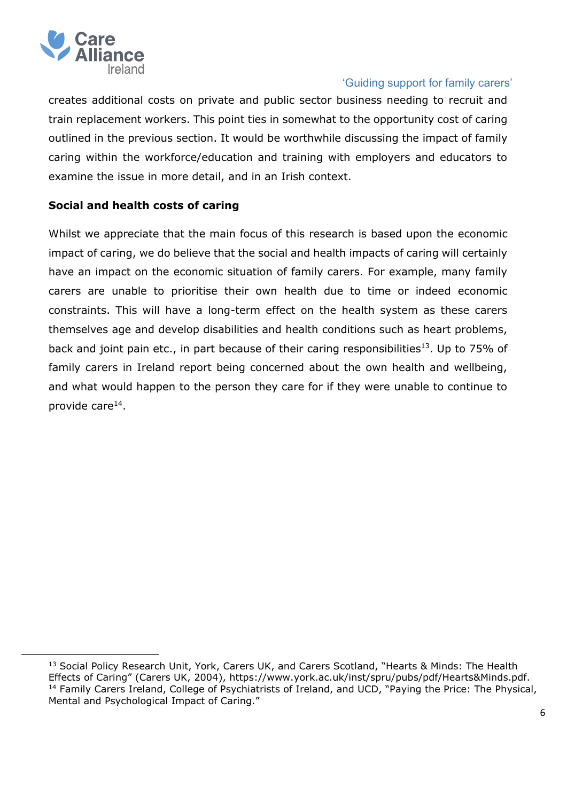

creates additional costs on private and public sector business needing to recruit and train replacement workers. This point ties in somewhat to the opportunity cost of caring outlined in the previous section. It would be worthwhile discussing the impact of family caring within the workforce/education and training with employers and educators to examine the issue in more detail, and in an Irish context.

### **Social and health costs of caring**

Whilst we appreciate that the main focus of this research is based upon the economic impact of caring, we do believe that the social and health impacts of caring will certainly have an impact on the economic situation of family carers. For example, many family carers are unable to prioritise their own health due to time or indeed economic constraints. This will have a long-term effect on the health system as these carers themselves age and develop disabilities and health conditions such as heart problems, back and joint pain etc., in part because of their caring responsibilities<sup>13</sup>. Up to 75% of family carers in Ireland report being concerned about the own health and wellbeing, and what would happen to the person they care for if they were unable to continue to provide care<sup>14</sup>.

<sup>&</sup>lt;sup>13</sup> Social Policy Research Unit, York, Carers UK, and Carers Scotland, "Hearts & Minds: The Health Effects of Caring" (Carers UK, 2004), https://www.york.ac.uk/inst/spru/pubs/pdf/Hearts&Minds.pdf. <sup>14</sup> Family Carers Ireland, College of Psychiatrists of Ireland, and UCD, "Paying the Price: The Physical, Mental and Psychological Impact of Caring."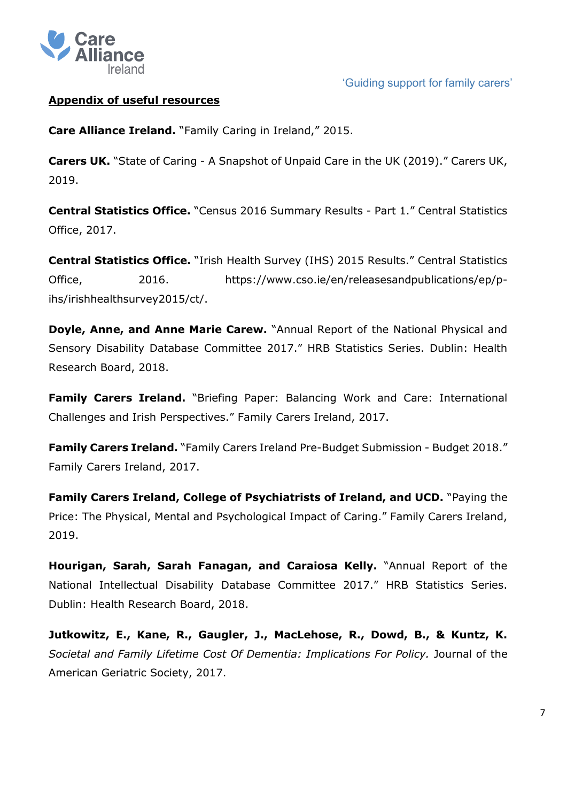

# **Appendix of useful resources**

**Care Alliance Ireland.** "Family Caring in Ireland," 2015.

**Carers UK.** "State of Caring - A Snapshot of Unpaid Care in the UK (2019)." Carers UK, 2019.

**Central Statistics Office.** "Census 2016 Summary Results - Part 1." Central Statistics Office, 2017.

**Central Statistics Office.** "Irish Health Survey (IHS) 2015 Results." Central Statistics Office, 2016. https://www.cso.ie/en/releasesandpublications/ep/pihs/irishhealthsurvey2015/ct/.

**Doyle, Anne, and Anne Marie Carew.** "Annual Report of the National Physical and Sensory Disability Database Committee 2017." HRB Statistics Series. Dublin: Health Research Board, 2018.

**Family Carers Ireland.** "Briefing Paper: Balancing Work and Care: International Challenges and Irish Perspectives." Family Carers Ireland, 2017.

**Family Carers Ireland.** "Family Carers Ireland Pre-Budget Submission - Budget 2018." Family Carers Ireland, 2017.

**Family Carers Ireland, College of Psychiatrists of Ireland, and UCD.** "Paying the Price: The Physical, Mental and Psychological Impact of Caring." Family Carers Ireland, 2019.

**Hourigan, Sarah, Sarah Fanagan, and Caraiosa Kelly.** "Annual Report of the National Intellectual Disability Database Committee 2017." HRB Statistics Series. Dublin: Health Research Board, 2018.

**Jutkowitz, E., Kane, R., Gaugler, J., MacLehose, R., Dowd, B., & Kuntz, K.** *Societal and Family Lifetime Cost Of Dementia: Implications For Policy.* Journal of the American Geriatric Society, 2017.